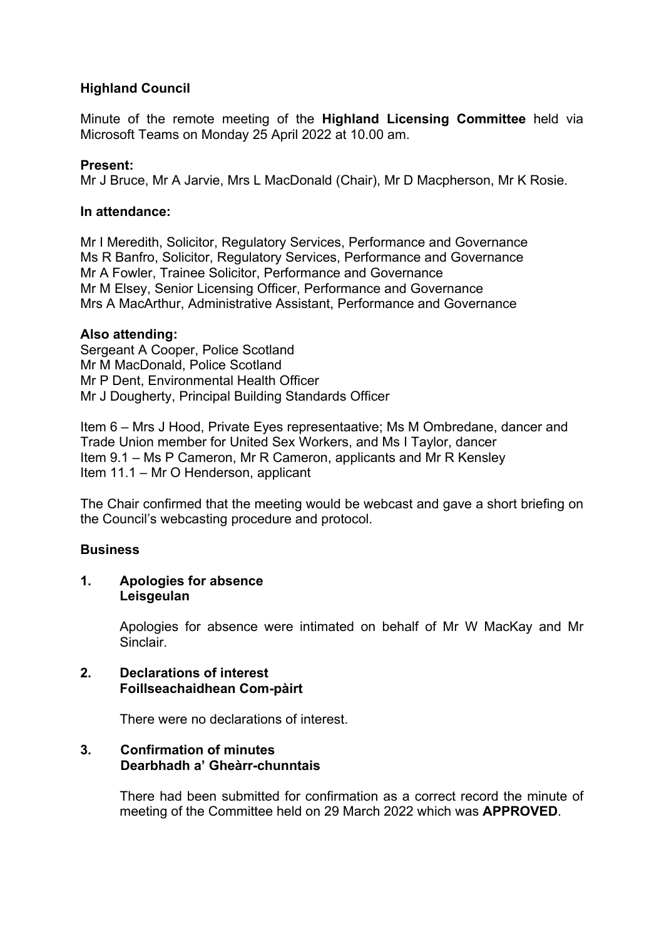# **Highland Council**

Minute of the remote meeting of the **Highland Licensing Committee** held via Microsoft Teams on Monday 25 April 2022 at 10.00 am.

## **Present:**

Mr J Bruce, Mr A Jarvie, Mrs L MacDonald (Chair), Mr D Macpherson, Mr K Rosie.

### **In attendance:**

Mr I Meredith, Solicitor, Regulatory Services, Performance and Governance Ms R Banfro, Solicitor, Regulatory Services, Performance and Governance Mr A Fowler, Trainee Solicitor, Performance and Governance Mr M Elsey, Senior Licensing Officer, Performance and Governance Mrs A MacArthur, Administrative Assistant, Performance and Governance

### **Also attending:**

Sergeant A Cooper, Police Scotland Mr M MacDonald, Police Scotland Mr P Dent, Environmental Health Officer Mr J Dougherty, Principal Building Standards Officer

Item 6 – Mrs J Hood, Private Eyes representaative; Ms M Ombredane, dancer and Trade Union member for United Sex Workers, and Ms I Taylor, dancer Item 9.1 – Ms P Cameron, Mr R Cameron, applicants and Mr R Kensley Item 11.1 – Mr O Henderson, applicant

The Chair confirmed that the meeting would be webcast and gave a short briefing on the Council's webcasting procedure and protocol.

## **Business**

### **1. Apologies for absence Leisgeulan**

Apologies for absence were intimated on behalf of Mr W MacKay and Mr Sinclair.

## **2. Declarations of interest Foillseachaidhean Com-pàirt**

There were no declarations of interest.

# **3. Confirmation of minutes Dearbhadh a' Gheàrr-chunntais**

There had been submitted for confirmation as a correct record the minute of meeting of the Committee held on 29 March 2022 which was **APPROVED**.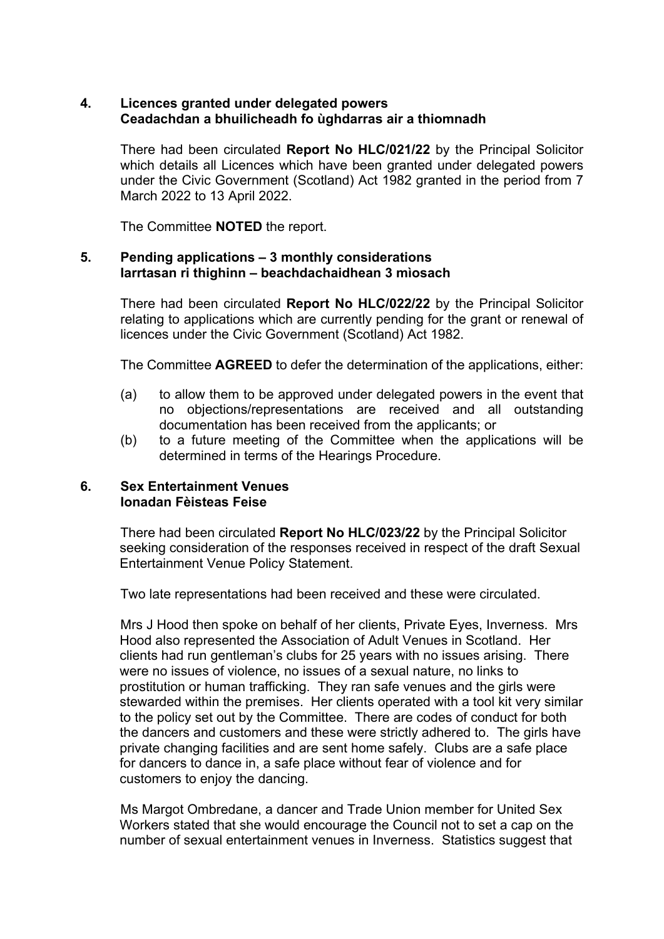## **4. Licences granted under delegated powers Ceadachdan a bhuilicheadh fo ùghdarras air a thiomnadh**

There had been circulated **Report No HLC/021/22** by the Principal Solicitor which details all Licences which have been granted under delegated powers under the Civic Government (Scotland) Act 1982 granted in the period from 7 March 2022 to 13 April 2022.

The Committee **NOTED** the report.

### **5. Pending applications – 3 monthly considerations Iarrtasan ri thighinn – beachdachaidhean 3 mìosach**

There had been circulated **Report No HLC/022/22** by the Principal Solicitor relating to applications which are currently pending for the grant or renewal of licences under the Civic Government (Scotland) Act 1982.

The Committee **AGREED** to defer the determination of the applications, either:

- (a) to allow them to be approved under delegated powers in the event that no objections/representations are received and all outstanding documentation has been received from the applicants; or
- (b) to a future meeting of the Committee when the applications will be determined in terms of the Hearings Procedure.

## **6. Sex Entertainment Venues Ionadan Fèisteas Feise**

There had been circulated **Report No HLC/023/22** by the Principal Solicitor seeking consideration of the responses received in respect of the draft Sexual Entertainment Venue Policy Statement.

Two late representations had been received and these were circulated.

Mrs J Hood then spoke on behalf of her clients, Private Eyes, Inverness. Mrs Hood also represented the Association of Adult Venues in Scotland. Her clients had run gentleman's clubs for 25 years with no issues arising. There were no issues of violence, no issues of a sexual nature, no links to prostitution or human trafficking. They ran safe venues and the girls were stewarded within the premises. Her clients operated with a tool kit very similar to the policy set out by the Committee. There are codes of conduct for both the dancers and customers and these were strictly adhered to. The girls have private changing facilities and are sent home safely. Clubs are a safe place for dancers to dance in, a safe place without fear of violence and for customers to enjoy the dancing.

Ms Margot Ombredane, a dancer and Trade Union member for United Sex Workers stated that she would encourage the Council not to set a cap on the number of sexual entertainment venues in Inverness. Statistics suggest that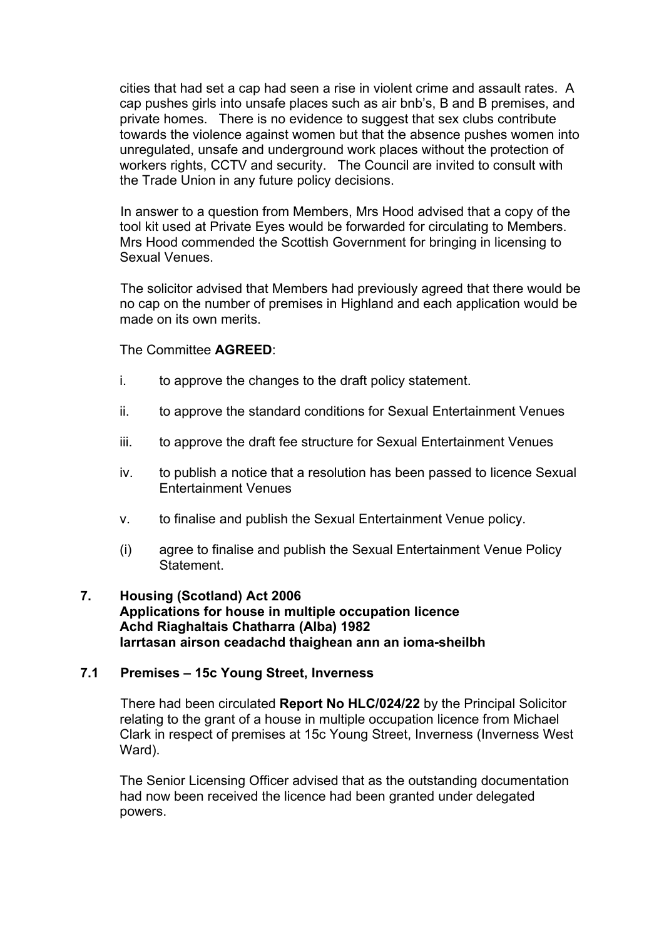cities that had set a cap had seen a rise in violent crime and assault rates. A cap pushes girls into unsafe places such as air bnb's, B and B premises, and private homes. There is no evidence to suggest that sex clubs contribute towards the violence against women but that the absence pushes women into unregulated, unsafe and underground work places without the protection of workers rights, CCTV and security. The Council are invited to consult with the Trade Union in any future policy decisions.

In answer to a question from Members, Mrs Hood advised that a copy of the tool kit used at Private Eyes would be forwarded for circulating to Members. Mrs Hood commended the Scottish Government for bringing in licensing to Sexual Venues.

The solicitor advised that Members had previously agreed that there would be no cap on the number of premises in Highland and each application would be made on its own merits.

The Committee **AGREED**:

- i. to approve the changes to the draft policy statement.
- ii. to approve the standard conditions for Sexual Entertainment Venues
- iii. to approve the draft fee structure for Sexual Entertainment Venues
- iv. to publish a notice that a resolution has been passed to licence Sexual Entertainment Venues
- v. to finalise and publish the Sexual Entertainment Venue policy.
- (i) agree to finalise and publish the Sexual Entertainment Venue Policy Statement.

## **7. Housing (Scotland) Act 2006 Applications for house in multiple occupation licence Achd Riaghaltais Chatharra (Alba) 1982 Iarrtasan airson ceadachd thaighean ann an ioma-sheilbh**

## **7.1 Premises – 15c Young Street, Inverness**

There had been circulated **Report No HLC/024/22** by the Principal Solicitor relating to the grant of a house in multiple occupation licence from Michael Clark in respect of premises at 15c Young Street, Inverness (Inverness West Ward).

The Senior Licensing Officer advised that as the outstanding documentation had now been received the licence had been granted under delegated powers.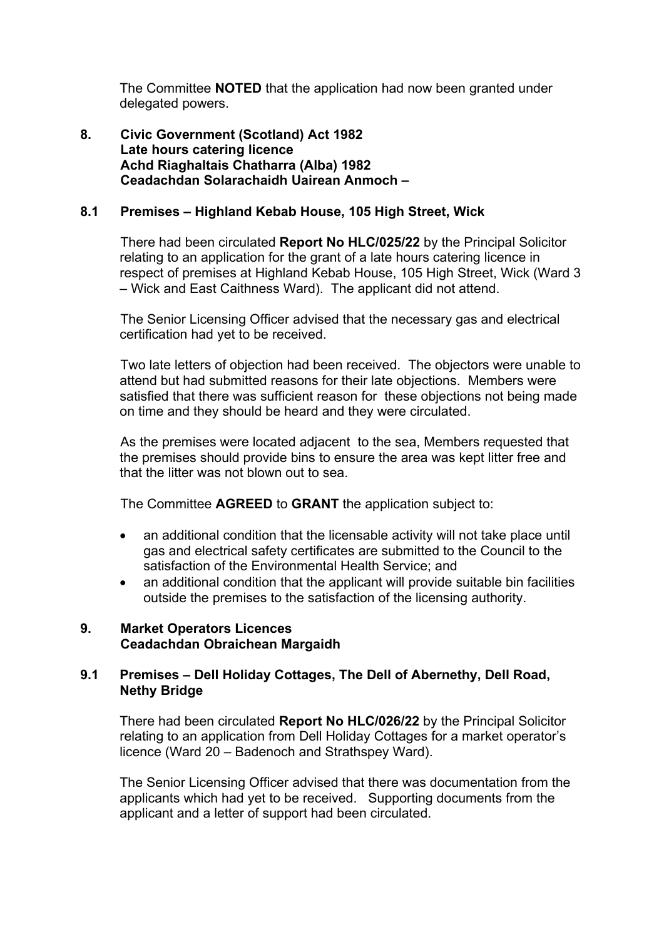The Committee **NOTED** that the application had now been granted under delegated powers.

**8. Civic Government (Scotland) Act 1982 Late hours catering licence Achd Riaghaltais Chatharra (Alba) 1982 Ceadachdan Solarachaidh Uairean Anmoch –**

## **8.1 Premises – Highland Kebab House, 105 High Street, Wick**

There had been circulated **Report No HLC/025/22** by the Principal Solicitor relating to an application for the grant of a late hours catering licence in respect of premises at Highland Kebab House, 105 High Street, Wick (Ward 3 – Wick and East Caithness Ward). The applicant did not attend.

The Senior Licensing Officer advised that the necessary gas and electrical certification had yet to be received.

Two late letters of objection had been received. The objectors were unable to attend but had submitted reasons for their late objections. Members were satisfied that there was sufficient reason for these objections not being made on time and they should be heard and they were circulated.

As the premises were located adjacent to the sea, Members requested that the premises should provide bins to ensure the area was kept litter free and that the litter was not blown out to sea.

The Committee **AGREED** to **GRANT** the application subject to:

- an additional condition that the licensable activity will not take place until gas and electrical safety certificates are submitted to the Council to the satisfaction of the Environmental Health Service; and
- an additional condition that the applicant will provide suitable bin facilities outside the premises to the satisfaction of the licensing authority.

# **9. Market Operators Licences Ceadachdan Obraichean Margaidh**

## **9.1 Premises – Dell Holiday Cottages, The Dell of Abernethy, Dell Road, Nethy Bridge**

There had been circulated **Report No HLC/026/22** by the Principal Solicitor relating to an application from Dell Holiday Cottages for a market operator's licence (Ward 20 – Badenoch and Strathspey Ward).

The Senior Licensing Officer advised that there was documentation from the applicants which had yet to be received. Supporting documents from the applicant and a letter of support had been circulated.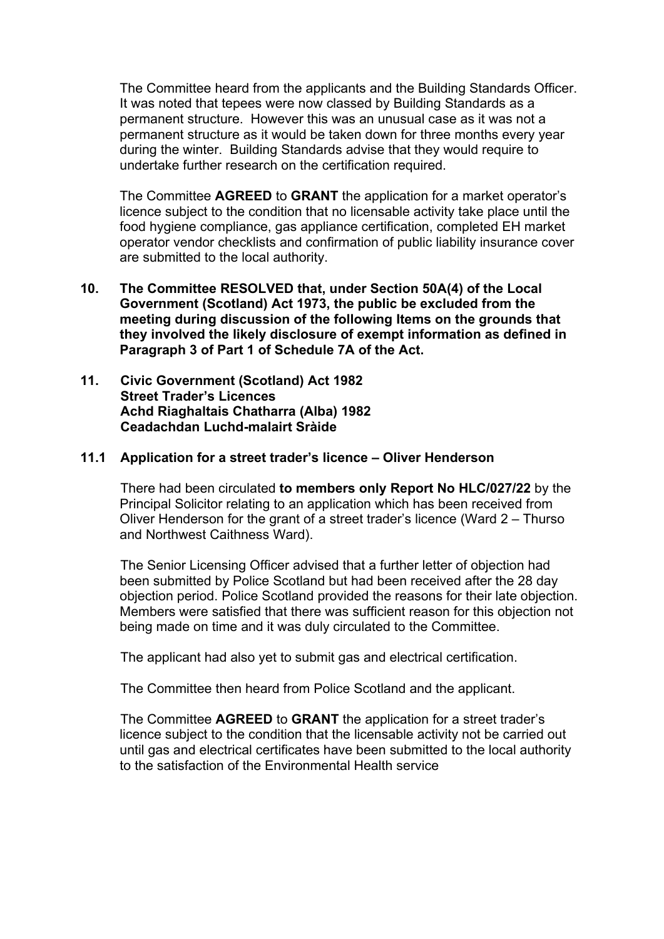The Committee heard from the applicants and the Building Standards Officer. It was noted that tepees were now classed by Building Standards as a permanent structure. However this was an unusual case as it was not a permanent structure as it would be taken down for three months every year during the winter. Building Standards advise that they would require to undertake further research on the certification required.

The Committee **AGREED** to **GRANT** the application for a market operator's licence subject to the condition that no licensable activity take place until the food hygiene compliance, gas appliance certification, completed EH market operator vendor checklists and confirmation of public liability insurance cover are submitted to the local authority.

- **10. The Committee RESOLVED that, under Section 50A(4) of the Local Government (Scotland) Act 1973, the public be excluded from the meeting during discussion of the following Items on the grounds that they involved the likely disclosure of exempt information as defined in Paragraph 3 of Part 1 of Schedule 7A of the Act.**
- **11. Civic Government (Scotland) Act 1982 Street Trader's Licences Achd Riaghaltais Chatharra (Alba) 1982 Ceadachdan Luchd-malairt Sràide**

### **11.1 Application for a street trader's licence – Oliver Henderson**

There had been circulated **to members only Report No HLC/027/22** by the Principal Solicitor relating to an application which has been received from Oliver Henderson for the grant of a street trader's licence (Ward 2 – Thurso and Northwest Caithness Ward).

The Senior Licensing Officer advised that a further letter of objection had been submitted by Police Scotland but had been received after the 28 day objection period. Police Scotland provided the reasons for their late objection. Members were satisfied that there was sufficient reason for this objection not being made on time and it was duly circulated to the Committee.

The applicant had also yet to submit gas and electrical certification.

The Committee then heard from Police Scotland and the applicant.

The Committee **AGREED** to **GRANT** the application for a street trader's licence subject to the condition that the licensable activity not be carried out until gas and electrical certificates have been submitted to the local authority to the satisfaction of the Environmental Health service